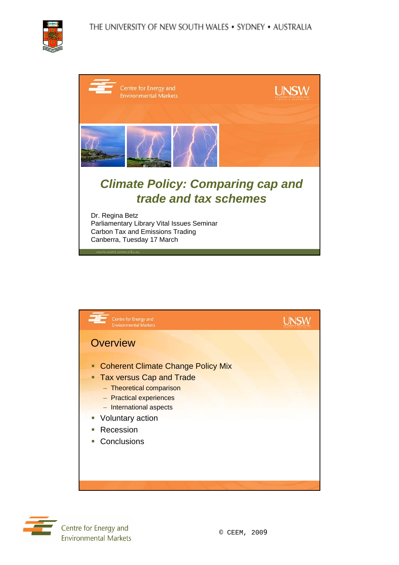





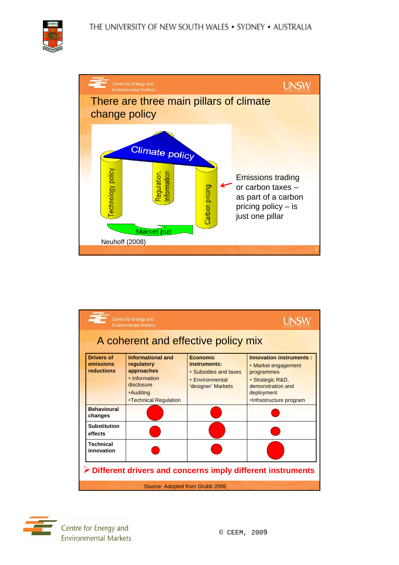



|                                                                             | Centre for Energy and<br><b>Environmental Markets</b>                                                                                   |                                                                                                        |                                                                                                                                                       |  |  |
|-----------------------------------------------------------------------------|-----------------------------------------------------------------------------------------------------------------------------------------|--------------------------------------------------------------------------------------------------------|-------------------------------------------------------------------------------------------------------------------------------------------------------|--|--|
| A coherent and effective policy mix                                         |                                                                                                                                         |                                                                                                        |                                                                                                                                                       |  |  |
| <b>Drivers of</b><br>emissions<br><b>reductions</b>                         | <b>Informational and</b><br>regulatory<br>approaches<br>• Information<br>disclosure<br><b>-Auditing</b><br><b>-Technical Regulation</b> | <b>Economic</b><br>instruments:<br>• Subsidies and taxes<br><b>Environmental</b><br>'designer' Markets | <b>Innovation instruments:</b><br>• Market engagement<br>programmes<br>■ Strategic R&D,<br>demonstration and<br>deployment<br>-Infrastructure program |  |  |
| <b>Behavioural</b><br>changes                                               |                                                                                                                                         |                                                                                                        |                                                                                                                                                       |  |  |
| <b>Substitution</b><br>effects                                              |                                                                                                                                         |                                                                                                        |                                                                                                                                                       |  |  |
| <b>Technical</b><br>innovation                                              |                                                                                                                                         |                                                                                                        |                                                                                                                                                       |  |  |
| $\triangleright$ Different drivers and concerns imply different instruments |                                                                                                                                         |                                                                                                        |                                                                                                                                                       |  |  |
|                                                                             | Source: Adopted from Grubb 2006                                                                                                         |                                                                                                        |                                                                                                                                                       |  |  |

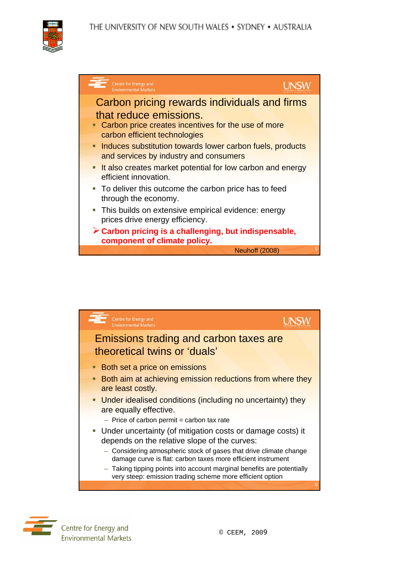





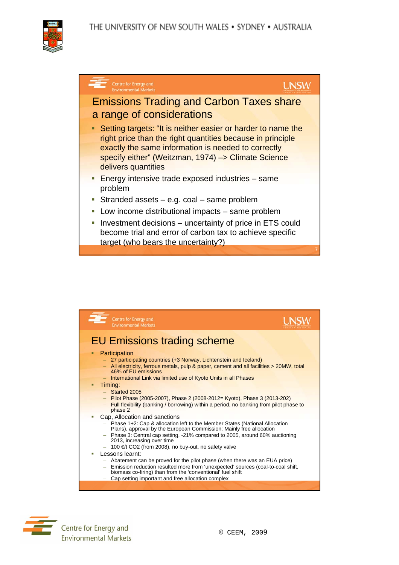





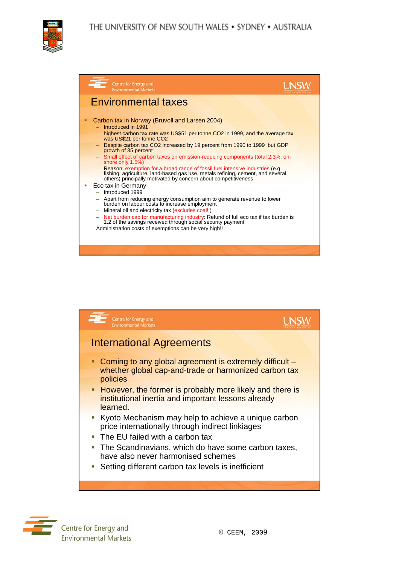THE UNIVERSITY OF NEW SOUTH WALES . SYDNEY . AUSTRALIA



| Centre for Energy and<br><b>Environmental Markets</b>                                                                                                                                                                                                                                                                                                                                                                                                                                                                                                                                                                               |  |
|-------------------------------------------------------------------------------------------------------------------------------------------------------------------------------------------------------------------------------------------------------------------------------------------------------------------------------------------------------------------------------------------------------------------------------------------------------------------------------------------------------------------------------------------------------------------------------------------------------------------------------------|--|
| <b>Environmental taxes</b>                                                                                                                                                                                                                                                                                                                                                                                                                                                                                                                                                                                                          |  |
| Carbon tax in Norway (Bruvoll and Larsen 2004)<br>Introduced in 1991<br>highest carbon tax rate was US\$51 per tonne CO2 in 1999, and the average tax<br>was US\$21 per tonne CO2<br>Despite carbon tax CO2 increased by 19 percent from 1990 to 1999 but GDP<br>growth of 35 percent<br>- Small effect of carbon taxes on emission-reducing components (total 2.3%, on-<br>shore only 1.5%)<br>- Reason: exemption for a broad range of fossil fuel intensive industries (e.g.<br>fishing, agriculture, land-based gas use, metals refining, cement, and several<br>others) principally motivated by concern about competitiveness |  |
| Eco tax in Germany<br>Introduced 1999<br>Apart from reducing energy consumption aim to generate revenue to lower<br>burden on labour costs to increase employment<br>Mineral oil and electricity tax (excludes coal!!)<br>$\overline{\phantom{0}}$<br>Net burden cap for manufacturing industry: Refund of full eco tax if tax burden is<br>1.2 of the savings received through social security payment<br>Administration costs of exemptions can be very high!!                                                                                                                                                                    |  |



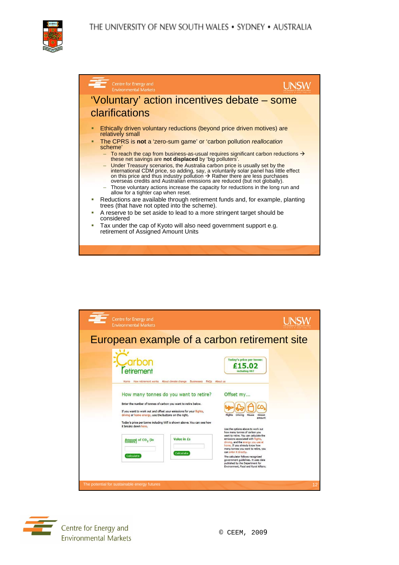THE UNIVERSITY OF NEW SOUTH WALES . SYDNEY . AUSTRALIA







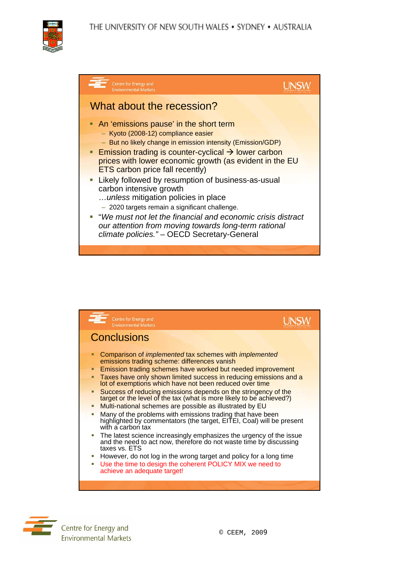